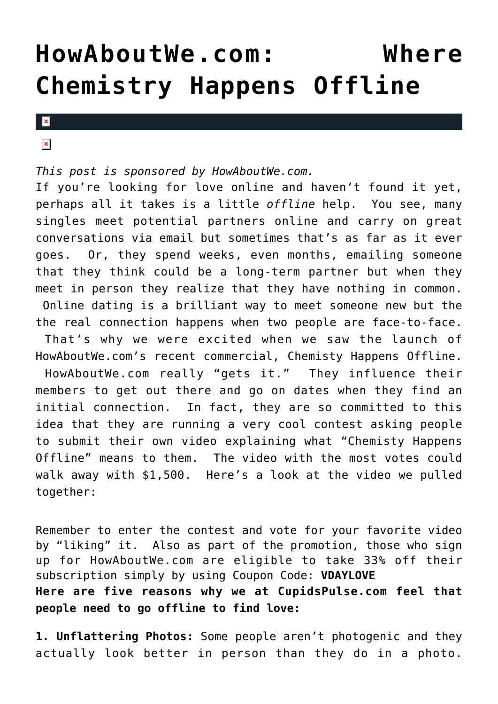## **[HowAboutWe.com: Where](https://cupidspulse.com/26835/howaboutwe-com-dating-site/) [Chemistry Happens Offline](https://cupidspulse.com/26835/howaboutwe-com-dating-site/)**

 $\pmb{\times}$ 

 $\pmb{\times}$ 

## *This post is sponsored by HowAboutWe.com.*

If you're looking for love online and haven't found it yet, perhaps all it takes is a little *offline* help. You see, many singles meet potential partners online and carry on great conversations via email but sometimes that's as far as it ever goes. Or, they spend weeks, even months, emailing someone that they think could be a long-term partner but when they meet in person they realize that they have nothing in common. Online dating is a brilliant way to meet someone new but the the real connection happens when two people are face-to-face. That's why we were excited when we saw the launch of HowAboutWe.com's recent commercial, Chemisty Happens Offline. HowAboutWe.com really "gets it." They influence their members to get out there and go on dates when they find an initial connection. In fact, they are so committed to this idea that they are running a very cool contest asking people to submit their own video explaining what "Chemisty Happens Offline" means to them. The video with the most votes could walk away with \$1,500. Here's a look at the video we pulled together:

Remember to enter the contest and vote for your favorite video by "liking" it. Also as part of the promotion, those who sign up for HowAboutWe.com are eligible to take 33% off their subscription simply by using Coupon Code: **VDAYLOVE Here are five reasons why we at CupidsPulse.com feel that people need to go offline to find love:**

**1. Unflattering Photos:** Some people aren't photogenic and they actually look better in person than they do in a photo.